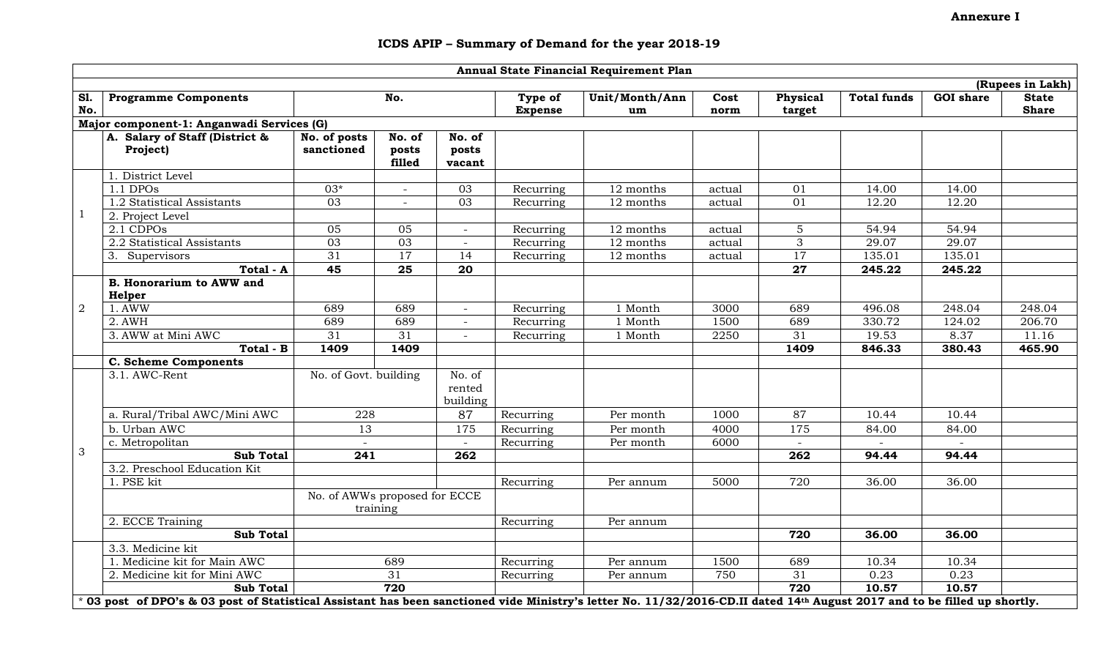## ICDS APIP – Summary of Demand for the year 2018-19

|                | Annual State Financial Requirement Plan                                                                                                                                   |                               |                 |                 |                |                |        |                 |                    |                  |              |
|----------------|---------------------------------------------------------------------------------------------------------------------------------------------------------------------------|-------------------------------|-----------------|-----------------|----------------|----------------|--------|-----------------|--------------------|------------------|--------------|
|                | (Rupees in Lakh)                                                                                                                                                          |                               |                 |                 |                |                |        |                 |                    |                  |              |
| <b>S1.</b>     | <b>Programme Components</b>                                                                                                                                               |                               | No.             |                 | Type of        | Unit/Month/Ann | Cost   | Physical        | <b>Total funds</b> | <b>GOI</b> share | <b>State</b> |
| No.            |                                                                                                                                                                           |                               |                 |                 | <b>Expense</b> | um             | norm   | target          |                    |                  | <b>Share</b> |
|                | Major component-1: Anganwadi Services (G)                                                                                                                                 |                               |                 |                 |                |                |        |                 |                    |                  |              |
|                | A. Salary of Staff (District &                                                                                                                                            | No. of posts                  | No. of          | No. of          |                |                |        |                 |                    |                  |              |
|                | Project)                                                                                                                                                                  | sanctioned                    | posts<br>filled | posts<br>vacant |                |                |        |                 |                    |                  |              |
|                | 1. District Level                                                                                                                                                         |                               |                 |                 |                |                |        |                 |                    |                  |              |
|                | $1.1$ DPOs                                                                                                                                                                | $03*$                         |                 | 03              | Recurring      | 12 months      | actual | 01              | 14.00              | 14.00            |              |
|                | 1.2 Statistical Assistants                                                                                                                                                | $\overline{03}$               |                 | 03              | Recurring      | 12 months      | actual | 01              | 12.20              | 12.20            |              |
| 1              | 2. Project Level                                                                                                                                                          |                               |                 |                 |                |                |        |                 |                    |                  |              |
|                | 2.1 CDPOs                                                                                                                                                                 | 05                            | 05              | $\equiv$        | Recurring      | 12 months      | actual | 5               | 54.94              | 54.94            |              |
|                | 2.2 Statistical Assistants                                                                                                                                                | 03                            | 03              | $\equiv$        | Recurring      | 12 months      | actual | 3               | 29.07              | 29.07            |              |
|                | 3. Supervisors                                                                                                                                                            | 31                            | 17              | 14              | Recurring      | 12 months      | actual | 17              | 135.01             | 135.01           |              |
|                | Total - A                                                                                                                                                                 | 45                            | $\overline{25}$ | $\overline{20}$ |                |                |        | $\overline{27}$ | 245.22             | 245.22           |              |
|                | <b>B. Honorarium to AWW and</b>                                                                                                                                           |                               |                 |                 |                |                |        |                 |                    |                  |              |
|                | Helper                                                                                                                                                                    |                               |                 |                 |                |                |        |                 |                    |                  |              |
| $\overline{2}$ | 1. AWW                                                                                                                                                                    | 689                           | 689             | $\sim$          | Recurring      | 1 Month        | 3000   | 689             | 496.08             | 248.04           | 248.04       |
|                | 2. AWH                                                                                                                                                                    | 689                           | 689             | $ \,$           | Recurring      | 1 Month        | 1500   | 689             | 330.72             | 124.02           | 206.70       |
|                | 3. AWW at Mini AWC                                                                                                                                                        | 31                            | $\overline{31}$ |                 | Recurring      | 1 Month        | 2250   | 31              | 19.53              | 8.37             | 11.16        |
|                | Total - B                                                                                                                                                                 | 1409                          | 1409            |                 |                |                |        | 1409            | 846.33             | 380.43           | 465.90       |
|                | <b>C. Scheme Components</b>                                                                                                                                               |                               |                 |                 |                |                |        |                 |                    |                  |              |
|                | 3.1. AWC-Rent                                                                                                                                                             | No. of Govt. building         |                 | No. of          |                |                |        |                 |                    |                  |              |
|                |                                                                                                                                                                           |                               |                 | rented          |                |                |        |                 |                    |                  |              |
|                |                                                                                                                                                                           |                               |                 | building        |                |                |        |                 |                    |                  |              |
|                | a. Rural/Tribal AWC/Mini AWC                                                                                                                                              | 228                           |                 | 87              | Recurring      | Per month      | 1000   | 87              | 10.44              | 10.44            |              |
|                | b. Urban AWC                                                                                                                                                              | 13                            |                 | 175             | Recurring      | Per month      | 4000   | 175             | 84.00              | 84.00            |              |
|                | c. Metropolitan                                                                                                                                                           |                               |                 | $\sim$          | Recurring      | Per month      | 6000   |                 |                    |                  |              |
| 3              | <b>Sub Total</b>                                                                                                                                                          | $\overline{241}$              |                 | 262             |                |                |        | 262             | 94.44              | 94.44            |              |
|                | 3.2. Preschool Education Kit                                                                                                                                              |                               |                 |                 |                |                |        |                 |                    |                  |              |
|                | 1. PSE kit                                                                                                                                                                |                               |                 |                 | Recurring      | Per annum      | 5000   | 720             | 36.00              | 36.00            |              |
|                |                                                                                                                                                                           | No. of AWWs proposed for ECCE |                 |                 |                |                |        |                 |                    |                  |              |
|                |                                                                                                                                                                           |                               | training        |                 |                |                |        |                 |                    |                  |              |
|                | 2. ECCE Training                                                                                                                                                          |                               |                 |                 | Recurring      | Per annum      |        |                 |                    |                  |              |
|                | <b>Sub Total</b>                                                                                                                                                          |                               |                 |                 |                |                |        | 720             | 36.00              | 36.00            |              |
|                | 3.3. Medicine kit                                                                                                                                                         |                               |                 |                 |                |                |        |                 |                    |                  |              |
|                | 1. Medicine kit for Main AWC                                                                                                                                              |                               | 689             |                 | Recurring      | Per annum      | 1500   | 689             | 10.34              | 10.34            |              |
|                | 2. Medicine kit for Mini AWC                                                                                                                                              |                               | 31              |                 | Recurring      | Per annum      | 750    | 31              | 0.23               | 0.23             |              |
|                | <b>Sub Total</b>                                                                                                                                                          |                               | 720             |                 |                |                |        | 720             | 10.57              | 10.57            |              |
|                | * 03 post of DPO's & 03 post of Statistical Assistant has been sanctioned vide Ministry's letter No. 11/32/2016-CD.II dated 14th August 2017 and to be filled up shortly. |                               |                 |                 |                |                |        |                 |                    |                  |              |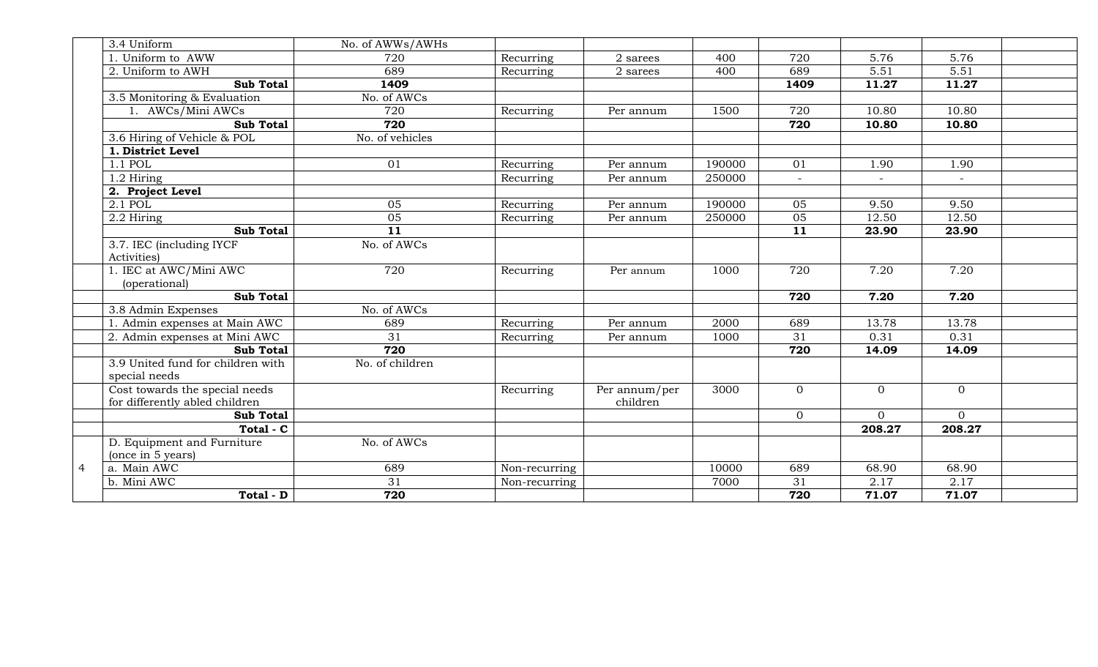|   | 3.4 Uniform                             | No. of AWWs/AWHs |               |                   |        |                |                |                |  |
|---|-----------------------------------------|------------------|---------------|-------------------|--------|----------------|----------------|----------------|--|
|   | 1. Uniform to AWW                       | 720              | Recurring     | $2\mbox{ sarees}$ | 400    | 720            | 5.76           | 5.76           |  |
|   | 2. Uniform to AWH                       | 689              | Recurring     | $2\mbox{ sarees}$ | 400    | 689            | 5.51           | 5.51           |  |
|   | <b>Sub Total</b>                        | 1409             |               |                   |        | 1409           | 11.27          | 11.27          |  |
|   | 3.5 Monitoring & Evaluation             | No. of AWCs      |               |                   |        |                |                |                |  |
|   | 1. AWCs/Mini AWCs                       | 720              | Recurring     | Per annum         | 1500   | 720            | 10.80          | 10.80          |  |
|   | <b>Sub Total</b>                        | 720              |               |                   |        | 720            | 10.80          | 10.80          |  |
|   | 3.6 Hiring of Vehicle & POL             | No. of vehicles  |               |                   |        |                |                |                |  |
|   | 1. District Level                       |                  |               |                   |        |                |                |                |  |
|   | 1.1 POL                                 | 01               | Recurring     | Per annum         | 190000 | 01             | 1.90           | 1.90           |  |
|   | 1.2 Hiring                              |                  | Recurring     | Per annum         | 250000 | $\equiv$       |                |                |  |
|   | 2. Project Level                        |                  |               |                   |        |                |                |                |  |
|   | 2.1 POL                                 | 05               | Recurring     | Per annum         | 190000 | 05             | 9.50           | 9.50           |  |
|   | 2.2 Hiring                              | $\overline{05}$  | Recurring     | Per annum         | 250000 | 05             | 12.50          | 12.50          |  |
|   | <b>Sub Total</b>                        | $\overline{11}$  |               |                   |        | 11             | 23.90          | 23.90          |  |
|   | 3.7. IEC (including IYCF                | No. of AWCs      |               |                   |        |                |                |                |  |
|   | Activities)                             |                  |               |                   |        |                |                |                |  |
|   | 1. IEC at AWC/Mini AWC<br>(operational) | 720              | Recurring     | Per annum         | 1000   | 720            | 7.20           | 7.20           |  |
|   | <b>Sub Total</b>                        |                  |               |                   |        | 720            | 7.20           | 7.20           |  |
|   | 3.8 Admin Expenses                      | No. of AWCs      |               |                   |        |                |                |                |  |
|   | 1. Admin expenses at Main AWC           | 689              | Recurring     | Per annum         | 2000   | 689            | 13.78          | 13.78          |  |
|   | 2. Admin expenses at Mini AWC           | 31               | Recurring     | Per annum         | 1000   | 31             | 0.31           | 0.31           |  |
|   | <b>Sub Total</b>                        | 720              |               |                   |        | 720            | 14.09          | 14.09          |  |
|   | 3.9 United fund for children with       | No. of children  |               |                   |        |                |                |                |  |
|   | special needs                           |                  |               |                   |        |                |                |                |  |
|   | Cost towards the special needs          |                  | Recurring     | Per annum/per     | 3000   | $\overline{0}$ | $\overline{0}$ | $\overline{0}$ |  |
|   | for differently abled children          |                  |               | children          |        |                |                |                |  |
|   | <b>Sub Total</b>                        |                  |               |                   |        | $\overline{0}$ | $\overline{0}$ | $\overline{0}$ |  |
|   | Total - C                               |                  |               |                   |        |                | 208.27         | 208.27         |  |
|   | D. Equipment and Furniture              | No. of AWCs      |               |                   |        |                |                |                |  |
|   | (once in 5 years)                       |                  |               |                   |        |                |                |                |  |
| 4 | a. Main AWC                             | 689              | Non-recurring |                   | 10000  | 689            | 68.90          | 68.90          |  |
|   | b. Mini AWC                             | $\overline{31}$  | Non-recurring |                   | 7000   | 31             | 2.17           | 2.17           |  |
|   | Total - D                               | 720              |               |                   |        | 720            | 71.07          | 71.07          |  |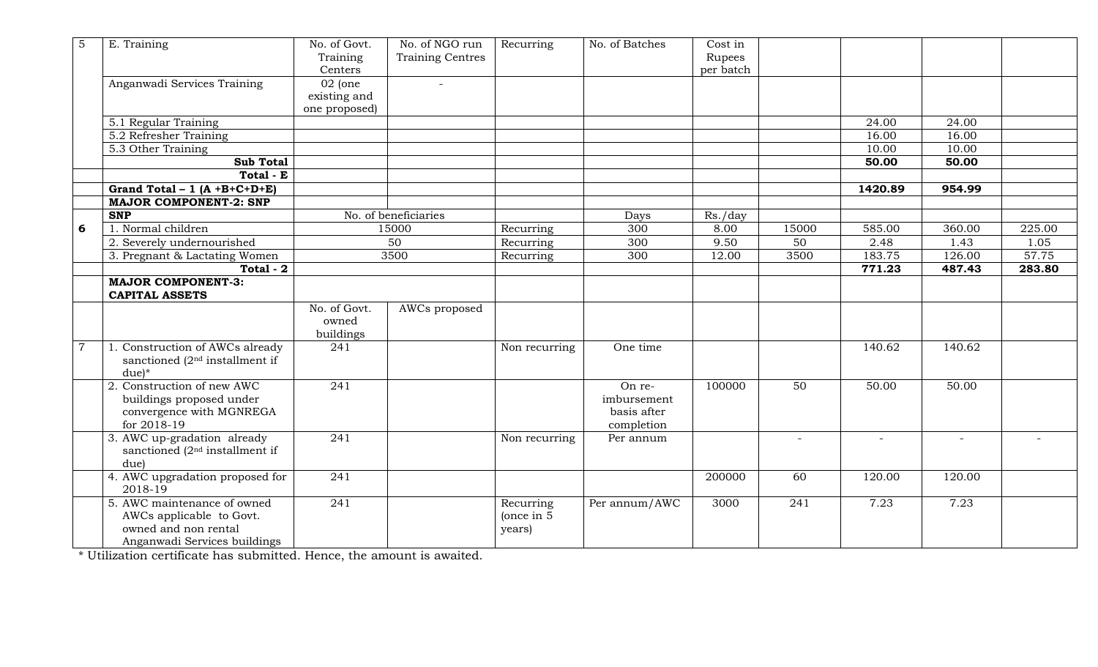| 5              | E. Training                                                                                                     | No. of Govt.<br>Training                   | No. of NGO run<br><b>Training Centres</b> | Recurring                         | No. of Batches                                     | Cost in<br>Rupees |              |         |        |        |
|----------------|-----------------------------------------------------------------------------------------------------------------|--------------------------------------------|-------------------------------------------|-----------------------------------|----------------------------------------------------|-------------------|--------------|---------|--------|--------|
|                |                                                                                                                 | Centers                                    |                                           |                                   |                                                    | per batch         |              |         |        |        |
|                | Anganwadi Services Training                                                                                     | $02$ (one<br>existing and<br>one proposed) |                                           |                                   |                                                    |                   |              |         |        |        |
|                | 5.1 Regular Training                                                                                            |                                            |                                           |                                   |                                                    |                   |              | 24.00   | 24.00  |        |
|                | 5.2 Refresher Training                                                                                          |                                            |                                           |                                   |                                                    |                   |              | 16.00   | 16.00  |        |
|                | 5.3 Other Training                                                                                              |                                            |                                           |                                   |                                                    |                   |              | 10.00   | 10.00  |        |
|                | <b>Sub Total</b>                                                                                                |                                            |                                           |                                   |                                                    |                   |              | 50.00   | 50.00  |        |
|                | Total - E                                                                                                       |                                            |                                           |                                   |                                                    |                   |              |         |        |        |
|                | Grand Total - 1 $(A + B+C+D+E)$                                                                                 |                                            |                                           |                                   |                                                    |                   |              | 1420.89 | 954.99 |        |
|                | <b>MAJOR COMPONENT-2: SNP</b>                                                                                   |                                            |                                           |                                   |                                                    |                   |              |         |        |        |
|                | <b>SNP</b>                                                                                                      |                                            | No. of beneficiaries                      |                                   | Days                                               | Rs./day           |              |         |        |        |
| 6              | 1. Normal children                                                                                              |                                            | 15000                                     | Recurring                         | 300                                                | 8.00              | 15000        | 585.00  | 360.00 | 225.00 |
|                | 2. Severely undernourished                                                                                      |                                            | 50                                        | Recurring                         | 300                                                | 9.50              | 50           | 2.48    | 1.43   | 1.05   |
|                | 3. Pregnant & Lactating Women                                                                                   |                                            | 3500                                      | Recurring                         | 300                                                | 12.00             | 3500         | 183.75  | 126.00 | 57.75  |
|                | Total - 2                                                                                                       |                                            |                                           |                                   |                                                    |                   |              | 771.23  | 487.43 | 283.80 |
|                | <b>MAJOR COMPONENT-3:</b>                                                                                       |                                            |                                           |                                   |                                                    |                   |              |         |        |        |
|                | <b>CAPITAL ASSETS</b>                                                                                           |                                            |                                           |                                   |                                                    |                   |              |         |        |        |
|                |                                                                                                                 | No. of Govt.<br>owned<br>buildings         | AWCs proposed                             |                                   |                                                    |                   |              |         |        |        |
| $\overline{7}$ | 1. Construction of AWCs already<br>sanctioned $(2nd$ installment if<br>$due)*$                                  | 241                                        |                                           | Non recurring                     | One time                                           |                   |              | 140.62  | 140.62 |        |
|                | 2. Construction of new AWC<br>buildings proposed under<br>convergence with MGNREGA<br>for 2018-19               | 241                                        |                                           |                                   | On re-<br>imbursement<br>basis after<br>completion | 100000            | 50           | 50.00   | 50.00  |        |
|                | 3. AWC up-gradation already<br>sanctioned $(2nd$ installment if<br>due)                                         | 241                                        |                                           | Non recurring                     | Per annum                                          |                   | $\sim$       | $\sim$  | $\sim$ |        |
|                | 4. AWC upgradation proposed for<br>2018-19                                                                      | 241                                        |                                           |                                   |                                                    | 200000            | 60           | 120.00  | 120.00 |        |
|                | 5. AWC maintenance of owned<br>AWCs applicable to Govt.<br>owned and non rental<br>Anganwadi Services buildings | $\sqrt{241}$                               |                                           | Recurring<br>(once in 5<br>years) | Per annum/AWC                                      | 3000              | $\sqrt{241}$ | 7.23    | 7.23   |        |

\* Utilization certificate has submitted. Hence, the amount is awaited.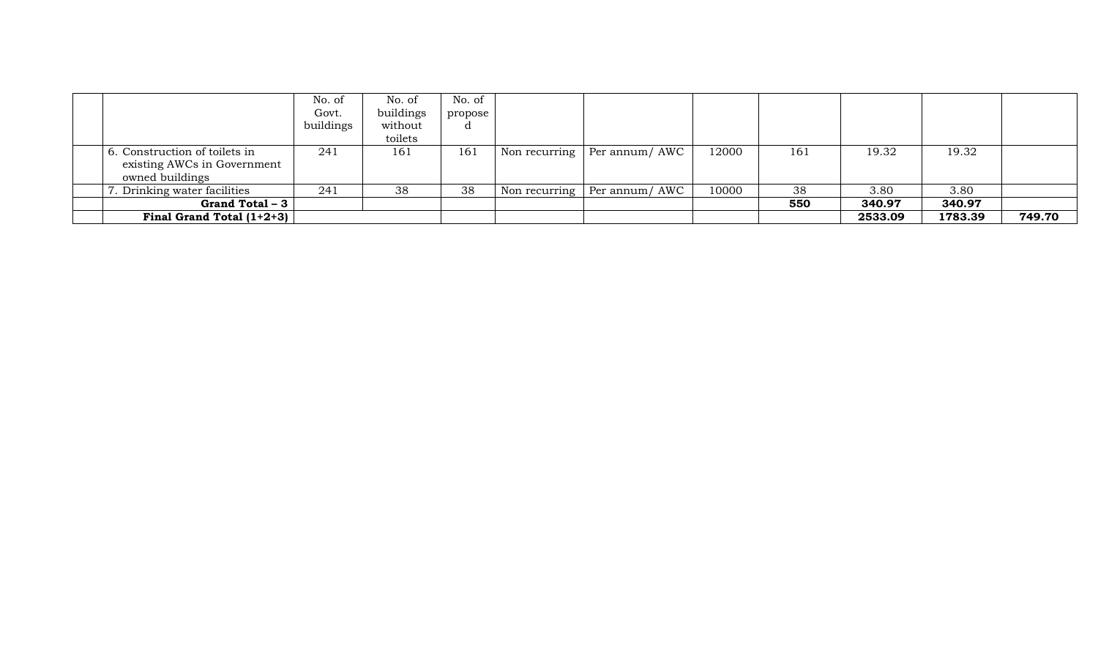|                                                                                 | No. of<br>Govt.<br>buildings | No. of<br>buildings<br>without<br>toilets | No. of<br>propose |               |                                     |       |     |         |         |        |
|---------------------------------------------------------------------------------|------------------------------|-------------------------------------------|-------------------|---------------|-------------------------------------|-------|-----|---------|---------|--------|
| 6. Construction of toilets in<br>existing AWCs in Government<br>owned buildings | 241                          | 161                                       | 161               |               | Non recurring $\vert$ Per annum/AWC | 12000 | 161 | 19.32   | 19.32   |        |
| Drinking water facilities                                                       | 241                          | 38                                        | 38                | Non recurring | Per annum/ AWC                      | 10000 | 38  | 3.80    | 3.80    |        |
| Grand Total – 3                                                                 |                              |                                           |                   |               |                                     |       | 550 | 340.97  | 340.97  |        |
| Final Grand Total $(1+2+3)$                                                     |                              |                                           |                   |               |                                     |       |     | 2533.09 | 1783.39 | 749.70 |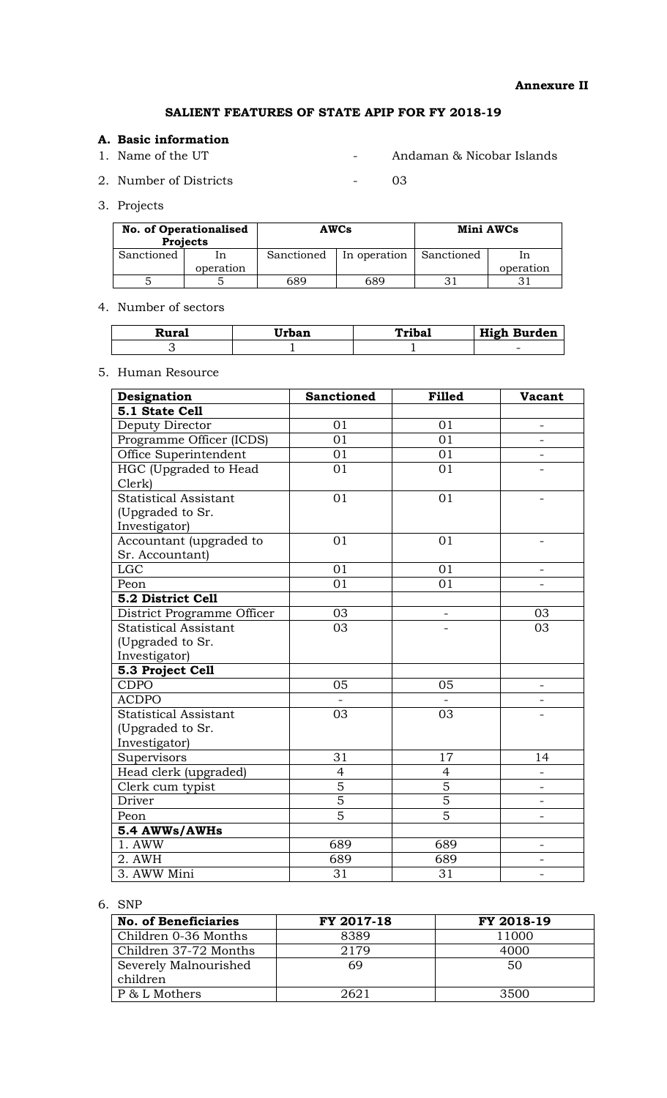# SALIENT FEATURES OF STATE APIP FOR FY 2018-19

## A. Basic information

1. Name of the UT - Andaman & Nicobar Islands

2. Number of Districts - 03

3. Projects

| <b>No. of Operationalised</b><br><b>Projects</b> |    |            | <b>AWCs</b>  | Mini AWCs  |           |  |
|--------------------------------------------------|----|------------|--------------|------------|-----------|--|
| Sanctioned                                       | ın | Sanctioned | In operation | Sanctioned |           |  |
| operation                                        |    |            |              |            | operation |  |
|                                                  |    | 689        | 689          |            |           |  |

## 4. Number of sectors

| Rural | Urban | Tribal | <b>High Burden</b>       |
|-------|-------|--------|--------------------------|
|       |       |        | $\overline{\phantom{0}}$ |

## 5. Human Resource

| Designation                  | <b>Sanctioned</b> | <b>Filled</b>  | <b>Vacant</b>            |
|------------------------------|-------------------|----------------|--------------------------|
| 5.1 State Cell               |                   |                |                          |
| Deputy Director              | 01                | 01             | $\overline{a}$           |
| Programme Officer (ICDS)     | 01                | 01             |                          |
| Office Superintendent        | 01                | 01             |                          |
| HGC (Upgraded to Head        | 01                | 01             |                          |
| Clerk)                       |                   |                |                          |
| <b>Statistical Assistant</b> | 01                | 01             | $\overline{\phantom{0}}$ |
| (Upgraded to Sr.             |                   |                |                          |
| Investigator)                |                   |                |                          |
| Accountant (upgraded to      | 01                | 01             |                          |
| Sr. Accountant)              |                   |                |                          |
| <b>LGC</b>                   | 01                | 01             | $\overline{\phantom{a}}$ |
| Peon                         | 01                | 01             |                          |
| 5.2 District Cell            |                   |                |                          |
| District Programme Officer   | 03                |                | 03                       |
| <b>Statistical Assistant</b> | 03                |                | 03                       |
| (Upgraded to Sr.             |                   |                |                          |
| Investigator)                |                   |                |                          |
| 5.3 Project Cell             |                   |                |                          |
| <b>CDPO</b>                  | 05                | 05             |                          |
| <b>ACDPO</b>                 |                   |                |                          |
| <b>Statistical Assistant</b> | 03                | 03             |                          |
| (Upgraded to Sr.             |                   |                |                          |
| Investigator)                |                   |                |                          |
| Supervisors                  | 31                | 17             | 14                       |
| Head clerk (upgraded)        | $\overline{4}$    | $\overline{4}$ |                          |
| Clerk cum typist             | $\overline{5}$    | $\overline{5}$ | $\overline{a}$           |
| Driver                       | $\overline{5}$    | $\overline{5}$ |                          |
| Peon                         | $\overline{5}$    | $\overline{5}$ |                          |
| 5.4 AWWs/AWHs                |                   |                |                          |
| 1. AWW                       | 689               | 689            | $\overline{\phantom{0}}$ |
| 2. AWH                       | 689               | 689            |                          |
| 3. AWW Mini                  | 31                | 31             |                          |

#### 6. SNP

| <b>No. of Beneficiaries</b> | FY 2017-18 | FY 2018-19 |
|-----------------------------|------------|------------|
| Children 0-36 Months        | 8389       | 11000      |
| Children 37-72 Months       | 2179       | 4000       |
| Severely Malnourished       | 69         | 50         |
| children                    |            |            |
| P & L Mothers               | 2621       | 3500       |